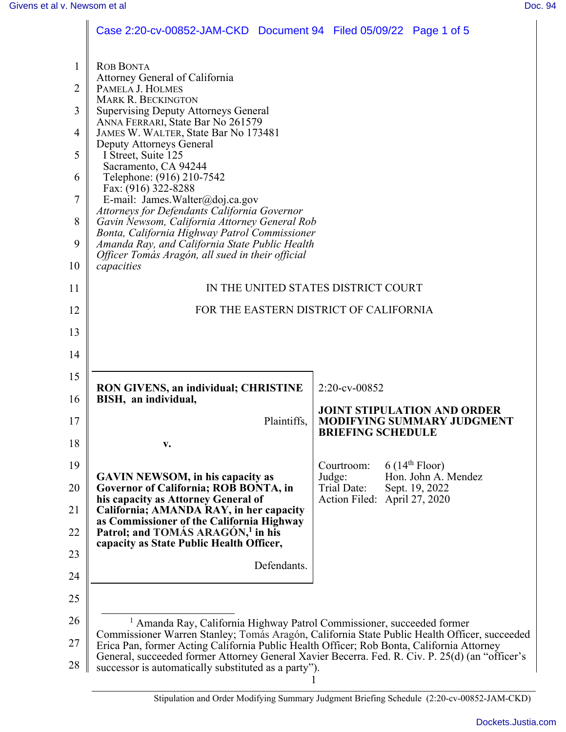|              | Case 2:20-cv-00852-JAM-CKD Document 94 Filed 05/09/22 Page 1 of 5                                                                                                                                                                                                                                                                                                                                                      |                                                                                              |  |  |  |  |
|--------------|------------------------------------------------------------------------------------------------------------------------------------------------------------------------------------------------------------------------------------------------------------------------------------------------------------------------------------------------------------------------------------------------------------------------|----------------------------------------------------------------------------------------------|--|--|--|--|
| $\mathbf{1}$ | <b>ROB BONTA</b>                                                                                                                                                                                                                                                                                                                                                                                                       |                                                                                              |  |  |  |  |
| 2            | Attorney General of California<br>PAMELA J. HOLMES                                                                                                                                                                                                                                                                                                                                                                     |                                                                                              |  |  |  |  |
| 3            | <b>MARK R. BECKINGTON</b><br><b>Supervising Deputy Attorneys General</b><br>ANNA FERRARI, State Bar No 261579<br>JAMES W. WALTER, State Bar No 173481                                                                                                                                                                                                                                                                  |                                                                                              |  |  |  |  |
| 4            |                                                                                                                                                                                                                                                                                                                                                                                                                        |                                                                                              |  |  |  |  |
| 5            | Deputy Attorneys General<br>I Street, Suite 125<br>Sacramento, CA 94244<br>Telephone: (916) 210-7542<br>Fax: (916) 322-8288<br>E-mail: James.Walter@doj.ca.gov<br>Attorneys for Defendants California Governor<br>Gavin Newsom, California Attorney General Rob<br>Bonta, California Highway Patrol Commissioner<br>Amanda Ray, and California State Public Health<br>Officer Tomás Aragón, all sued in their official |                                                                                              |  |  |  |  |
| 6            |                                                                                                                                                                                                                                                                                                                                                                                                                        |                                                                                              |  |  |  |  |
| 7            |                                                                                                                                                                                                                                                                                                                                                                                                                        |                                                                                              |  |  |  |  |
| 8<br>9       |                                                                                                                                                                                                                                                                                                                                                                                                                        |                                                                                              |  |  |  |  |
| 10           |                                                                                                                                                                                                                                                                                                                                                                                                                        |                                                                                              |  |  |  |  |
| 11           | capacities<br>IN THE UNITED STATES DISTRICT COURT                                                                                                                                                                                                                                                                                                                                                                      |                                                                                              |  |  |  |  |
| 12           | FOR THE EASTERN DISTRICT OF CALIFORNIA                                                                                                                                                                                                                                                                                                                                                                                 |                                                                                              |  |  |  |  |
| 13           |                                                                                                                                                                                                                                                                                                                                                                                                                        |                                                                                              |  |  |  |  |
| 14           |                                                                                                                                                                                                                                                                                                                                                                                                                        |                                                                                              |  |  |  |  |
| 15           |                                                                                                                                                                                                                                                                                                                                                                                                                        |                                                                                              |  |  |  |  |
| 16           | <b>RON GIVENS, an individual; CHRISTINE</b><br>BISH, an individual,                                                                                                                                                                                                                                                                                                                                                    | 2:20-cv-00852                                                                                |  |  |  |  |
| 17           | Plaintiffs,                                                                                                                                                                                                                                                                                                                                                                                                            | <b>JOINT STIPULATION AND ORDER</b><br>MODIFYING SUMMARY JUDGMENT<br><b>BRIEFING SCHEDULE</b> |  |  |  |  |
| 18           | v.                                                                                                                                                                                                                                                                                                                                                                                                                     |                                                                                              |  |  |  |  |
| 19           | <b>GAVIN NEWSOM, in his capacity as</b><br>Governor of California; ROB BONTA, in<br>his capacity as Attorney General of                                                                                                                                                                                                                                                                                                | 6(14 <sup>th</sup> Floor)<br>Courtroom:<br>Hon. John A. Mendez<br>Judge:                     |  |  |  |  |
| 20<br>21     |                                                                                                                                                                                                                                                                                                                                                                                                                        | Trial Date:<br>Sept. 19, 2022<br>Action Filed: April 27, 2020                                |  |  |  |  |
| 22           | California; AMANDA RAY, in her capacity<br>as Commissioner of the California Highway<br>Patrol; and TOMÁS ARAGÓN, <sup>1</sup> in his                                                                                                                                                                                                                                                                                  |                                                                                              |  |  |  |  |
| 23           | capacity as State Public Health Officer,                                                                                                                                                                                                                                                                                                                                                                               |                                                                                              |  |  |  |  |
| 24           | Defendants.                                                                                                                                                                                                                                                                                                                                                                                                            |                                                                                              |  |  |  |  |
| 25           |                                                                                                                                                                                                                                                                                                                                                                                                                        |                                                                                              |  |  |  |  |
| 26           | <sup>1</sup> Amanda Ray, California Highway Patrol Commissioner, succeeded former                                                                                                                                                                                                                                                                                                                                      |                                                                                              |  |  |  |  |
| 27           | Erica Pan, former Acting California Public Health Officer; Rob Bonta, California Attorney                                                                                                                                                                                                                                                                                                                              | Commissioner Warren Stanley; Tomás Aragón, California State Public Health Officer, succeeded |  |  |  |  |
| 28           | General, succeeded former Attorney General Xavier Becerra. Fed. R. Civ. P. 25(d) (an "officer's<br>successor is automatically substituted as a party").                                                                                                                                                                                                                                                                |                                                                                              |  |  |  |  |

Stipulation and Order Modifying Summary Judgment Briefing Schedule (2:20-cv-00852-JAM-CKD)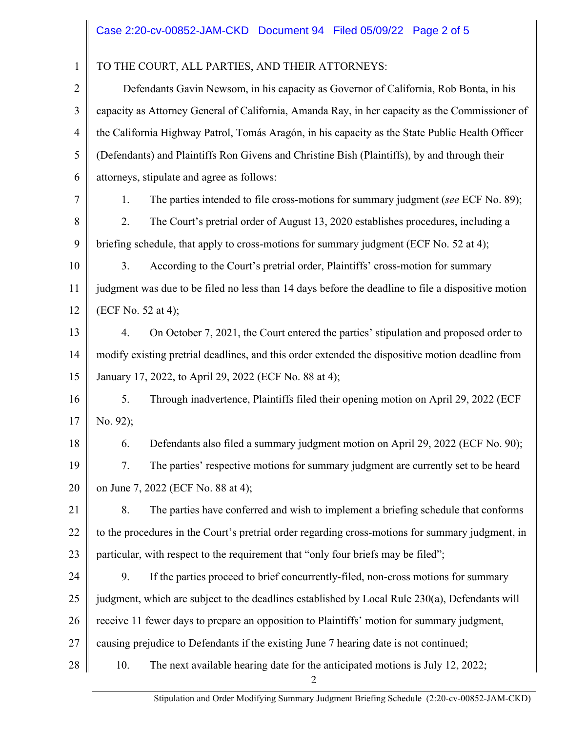| $\mathbf{1}$   | TO THE COURT, ALL PARTIES, AND THEIR ATTORNEYS:                                                    |                                                                                                |  |  |
|----------------|----------------------------------------------------------------------------------------------------|------------------------------------------------------------------------------------------------|--|--|
| $\overline{2}$ | Defendants Gavin Newsom, in his capacity as Governor of California, Rob Bonta, in his              |                                                                                                |  |  |
| 3              | capacity as Attorney General of California, Amanda Ray, in her capacity as the Commissioner of     |                                                                                                |  |  |
| $\overline{4}$ | the California Highway Patrol, Tomás Aragón, in his capacity as the State Public Health Officer    |                                                                                                |  |  |
| 5              | (Defendants) and Plaintiffs Ron Givens and Christine Bish (Plaintiffs), by and through their       |                                                                                                |  |  |
| 6              | attorneys, stipulate and agree as follows:                                                         |                                                                                                |  |  |
| 7              | 1.                                                                                                 | The parties intended to file cross-motions for summary judgment (see ECF No. 89);              |  |  |
| 8              | 2.                                                                                                 | The Court's pretrial order of August 13, 2020 establishes procedures, including a              |  |  |
| 9              | briefing schedule, that apply to cross-motions for summary judgment (ECF No. 52 at 4);             |                                                                                                |  |  |
| 10             | 3.                                                                                                 | According to the Court's pretrial order, Plaintiffs' cross-motion for summary                  |  |  |
| 11             | judgment was due to be filed no less than 14 days before the deadline to file a dispositive motion |                                                                                                |  |  |
| 12             | (ECF No. 52 at 4);                                                                                 |                                                                                                |  |  |
| 13             | 4.                                                                                                 | On October 7, 2021, the Court entered the parties' stipulation and proposed order to           |  |  |
| 14             | modify existing pretrial deadlines, and this order extended the dispositive motion deadline from   |                                                                                                |  |  |
| 15             | January 17, 2022, to April 29, 2022 (ECF No. 88 at 4);                                             |                                                                                                |  |  |
| 16             | 5.                                                                                                 | Through inadvertence, Plaintiffs filed their opening motion on April 29, 2022 (ECF             |  |  |
| 17             | No. 92);                                                                                           |                                                                                                |  |  |
| 18             | 6.                                                                                                 | Defendants also filed a summary judgment motion on April 29, 2022 (ECF No. 90);                |  |  |
| 19             |                                                                                                    | The parties' respective motions for summary judgment are currently set to be heard             |  |  |
| 20             | on June 7, 2022 (ECF No. 88 at 4);                                                                 |                                                                                                |  |  |
| 21             | 8.                                                                                                 | The parties have conferred and wish to implement a briefing schedule that conforms             |  |  |
| 22             | to the procedures in the Court's pretrial order regarding cross-motions for summary judgment, in   |                                                                                                |  |  |
| 23             |                                                                                                    | particular, with respect to the requirement that "only four briefs may be filed";              |  |  |
| 24             | 9.                                                                                                 | If the parties proceed to brief concurrently-filed, non-cross motions for summary              |  |  |
| 25             |                                                                                                    | judgment, which are subject to the deadlines established by Local Rule 230(a), Defendants will |  |  |
| 26             | receive 11 fewer days to prepare an opposition to Plaintiffs' motion for summary judgment,         |                                                                                                |  |  |
| 27             | causing prejudice to Defendants if the existing June 7 hearing date is not continued;              |                                                                                                |  |  |
| 28             | 10.                                                                                                | The next available hearing date for the anticipated motions is July 12, 2022;                  |  |  |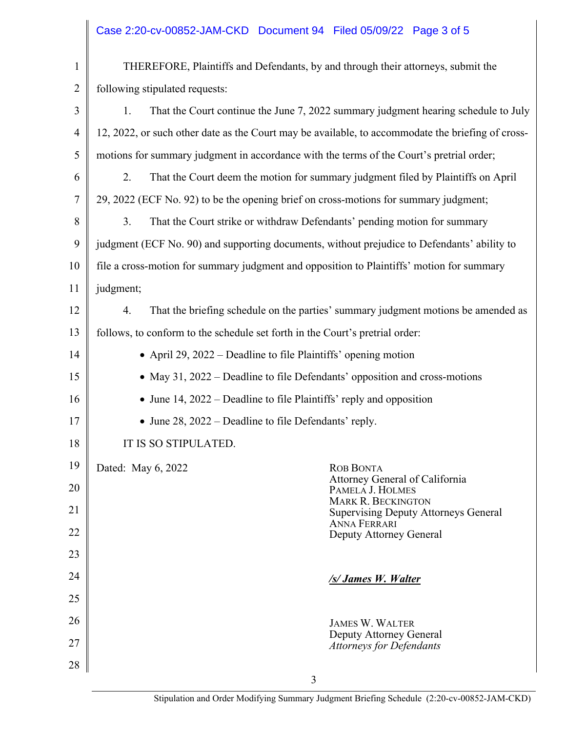|                | Case 2:20-cv-00852-JAM-CKD Document 94 Filed 05/09/22 Page 3 of 5                                 |  |  |  |  |
|----------------|---------------------------------------------------------------------------------------------------|--|--|--|--|
| $\mathbf{1}$   | THEREFORE, Plaintiffs and Defendants, by and through their attorneys, submit the                  |  |  |  |  |
| $\overline{2}$ | following stipulated requests:                                                                    |  |  |  |  |
| 3              | That the Court continue the June 7, 2022 summary judgment hearing schedule to July<br>1.          |  |  |  |  |
| $\overline{4}$ | 12, 2022, or such other date as the Court may be available, to accommodate the briefing of cross- |  |  |  |  |
| 5              | motions for summary judgment in accordance with the terms of the Court's pretrial order;          |  |  |  |  |
| 6              | 2.<br>That the Court deem the motion for summary judgment filed by Plaintiffs on April            |  |  |  |  |
| 7              | 29, 2022 (ECF No. 92) to be the opening brief on cross-motions for summary judgment;              |  |  |  |  |
| 8              | 3.<br>That the Court strike or withdraw Defendants' pending motion for summary                    |  |  |  |  |
| 9              | judgment (ECF No. 90) and supporting documents, without prejudice to Defendants' ability to       |  |  |  |  |
| 10             | file a cross-motion for summary judgment and opposition to Plaintiffs' motion for summary         |  |  |  |  |
| 11             | judgment;                                                                                         |  |  |  |  |
| 12             | That the briefing schedule on the parties' summary judgment motions be amended as<br>4.           |  |  |  |  |
| 13             | follows, to conform to the schedule set forth in the Court's pretrial order:                      |  |  |  |  |
| 14             | • April 29, 2022 – Deadline to file Plaintiffs' opening motion                                    |  |  |  |  |
| 15             | • May 31, 2022 – Deadline to file Defendants' opposition and cross-motions                        |  |  |  |  |
| 16             | • June 14, $2022$ – Deadline to file Plaintiffs' reply and opposition                             |  |  |  |  |
| 17             | • June 28, $2022$ – Deadline to file Defendants' reply.                                           |  |  |  |  |
| 18             | IT IS SO STIPULATED.                                                                              |  |  |  |  |
| 19             | Dated: May 6, 2022<br><b>ROB BONTA</b>                                                            |  |  |  |  |
| 20             | Attorney General of California<br>PAMELA J. HOLMES                                                |  |  |  |  |
| 21             | <b>MARK R. BECKINGTON</b><br><b>Supervising Deputy Attorneys General</b>                          |  |  |  |  |
| 22             | <b>ANNA FERRARI</b><br>Deputy Attorney General                                                    |  |  |  |  |
| 23             |                                                                                                   |  |  |  |  |
| 24             | /s/ James W. Walter                                                                               |  |  |  |  |
| 25             |                                                                                                   |  |  |  |  |
| 26             | <b>JAMES W. WALTER</b>                                                                            |  |  |  |  |
| 27             | Deputy Attorney General<br><b>Attorneys for Defendants</b>                                        |  |  |  |  |
| 28             |                                                                                                   |  |  |  |  |
|                | 3                                                                                                 |  |  |  |  |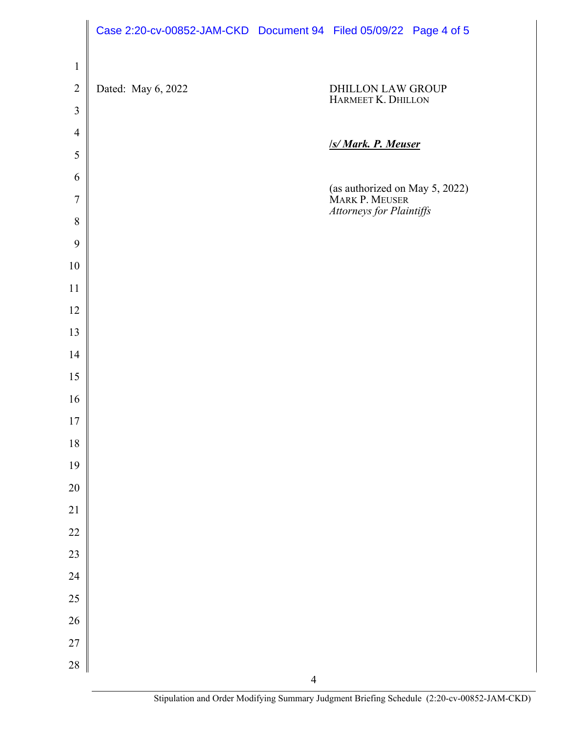|                  | Case 2:20-cv-00852-JAM-CKD Document 94 Filed 05/09/22 Page 4 of 5 |                |                                                  |  |
|------------------|-------------------------------------------------------------------|----------------|--------------------------------------------------|--|
| $\mathbf{1}$     |                                                                   |                |                                                  |  |
| $\overline{2}$   | Dated: May 6, 2022                                                |                | DHILLON LAW GROUP                                |  |
| $\mathfrak{Z}$   |                                                                   |                | HARMEET K. DHILLON                               |  |
| $\overline{4}$   |                                                                   |                |                                                  |  |
| 5                |                                                                   |                | <b>S/Mark. P. Meuser</b>                         |  |
| 6                |                                                                   |                |                                                  |  |
| $\boldsymbol{7}$ |                                                                   |                | (as authorized on May 5, 2022)<br>MARK P. MEUSER |  |
| $\, 8$           |                                                                   |                | Attorneys for Plaintiffs                         |  |
| $\mathbf{9}$     |                                                                   |                |                                                  |  |
| 10               |                                                                   |                |                                                  |  |
| 11               |                                                                   |                |                                                  |  |
| 12               |                                                                   |                |                                                  |  |
| 13               |                                                                   |                |                                                  |  |
| 14               |                                                                   |                |                                                  |  |
| 15               |                                                                   |                |                                                  |  |
| 16               |                                                                   |                |                                                  |  |
| 17               |                                                                   |                |                                                  |  |
| $18\,$           |                                                                   |                |                                                  |  |
| 19               |                                                                   |                |                                                  |  |
| $20\,$           |                                                                   |                |                                                  |  |
| 21               |                                                                   |                |                                                  |  |
| 22               |                                                                   |                |                                                  |  |
| 23               |                                                                   |                |                                                  |  |
| 24               |                                                                   |                |                                                  |  |
| 25               |                                                                   |                |                                                  |  |
| 26               |                                                                   |                |                                                  |  |
| 27               |                                                                   |                |                                                  |  |
| 28               |                                                                   | $\overline{4}$ |                                                  |  |